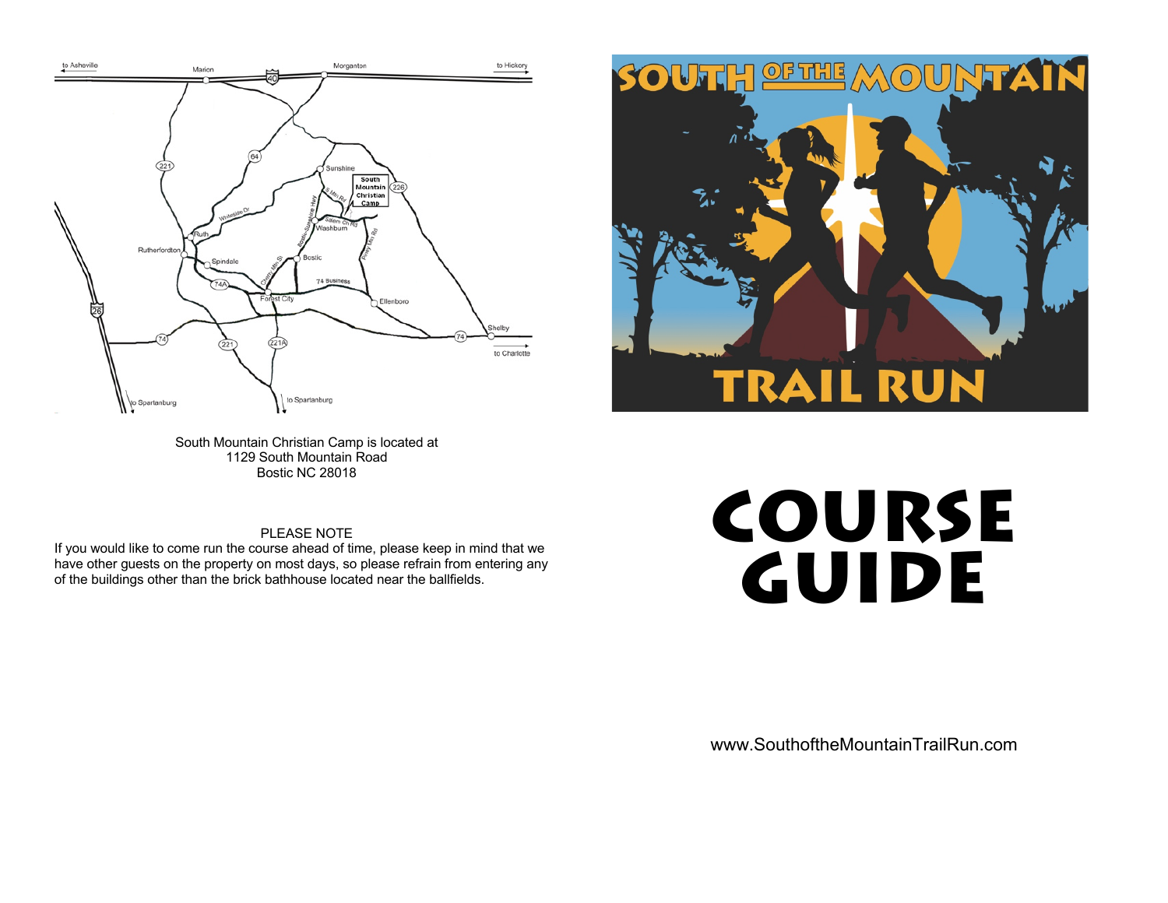



South Mountain Christian Camp is located at 1129 South Mountain Road Bostic NC 28018

## PLEASE NOTE

If you would like to come run the course ahead of time, please keep in mind that we have other guests on the property on most days, so please refrain from entering any of the buildings other than the brick bathhouse located near the ballfields.

## **COURSE GUIDE**

www.SouthoftheMountainTrailRun.com